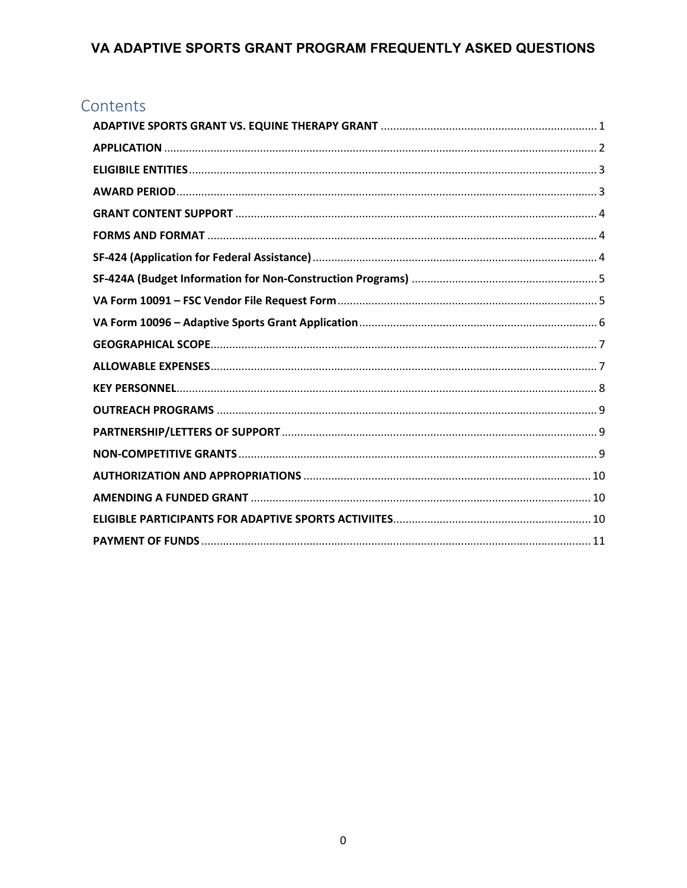# Contents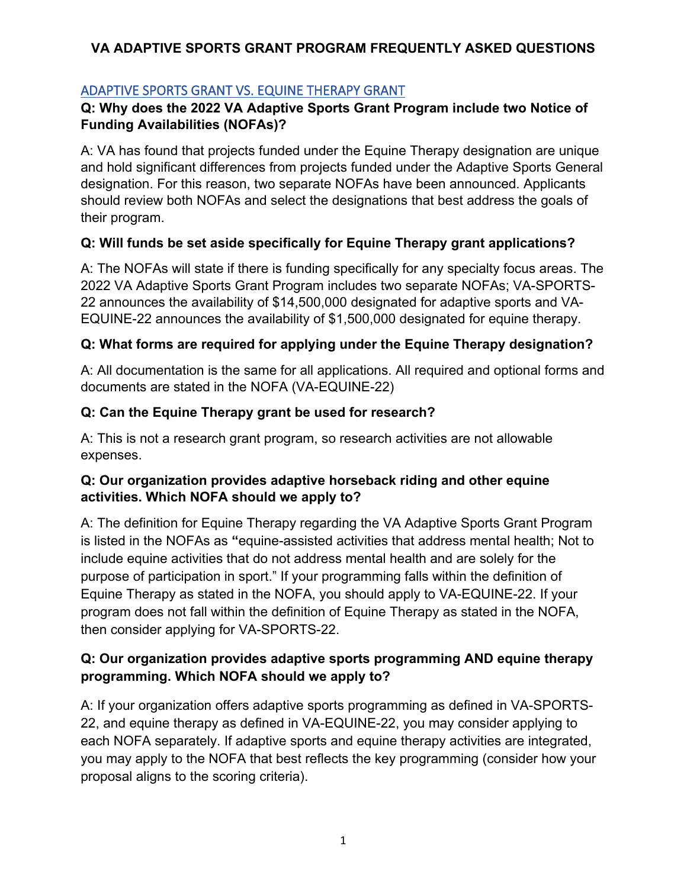# <span id="page-1-0"></span>ADAPTIVE SPORTS GRANT VS. EQUINE THERAPY GRANT

## **Q: Why does the 2022 VA Adaptive Sports Grant Program include two Notice of Funding Availabilities (NOFAs)?**

A: VA has found that projects funded under the Equine Therapy designation are unique and hold significant differences from projects funded under the Adaptive Sports General designation. For this reason, two separate NOFAs have been announced. Applicants should review both NOFAs and select the designations that best address the goals of their program.

## **Q: Will funds be set aside specifically for Equine Therapy grant applications?**

A: The NOFAs will state if there is funding specifically for any specialty focus areas. The 2022 VA Adaptive Sports Grant Program includes two separate NOFAs; VA-SPORTS-22 announces the availability of \$14,500,000 designated for adaptive sports and VA-EQUINE-22 announces the availability of \$1,500,000 designated for equine therapy.

## **Q: What forms are required for applying under the Equine Therapy designation?**

A: All documentation is the same for all applications. All required and optional forms and documents are stated in the NOFA (VA-EQUINE-22)

## **Q: Can the Equine Therapy grant be used for research?**

A: This is not a research grant program, so research activities are not allowable expenses.

## **Q: Our organization provides adaptive horseback riding and other equine activities. Which NOFA should we apply to?**

A: The definition for Equine Therapy regarding the VA Adaptive Sports Grant Program is listed in the NOFAs as **"**equine-assisted activities that address mental health; Not to include equine activities that do not address mental health and are solely for the purpose of participation in sport." If your programming falls within the definition of Equine Therapy as stated in the NOFA, you should apply to VA-EQUINE-22. If your program does not fall within the definition of Equine Therapy as stated in the NOFA, then consider applying for VA-SPORTS-22.

## **Q: Our organization provides adaptive sports programming AND equine therapy programming. Which NOFA should we apply to?**

A: If your organization offers adaptive sports programming as defined in VA-SPORTS-22, and equine therapy as defined in VA-EQUINE-22, you may consider applying to each NOFA separately. If adaptive sports and equine therapy activities are integrated, you may apply to the NOFA that best reflects the key programming (consider how your proposal aligns to the scoring criteria).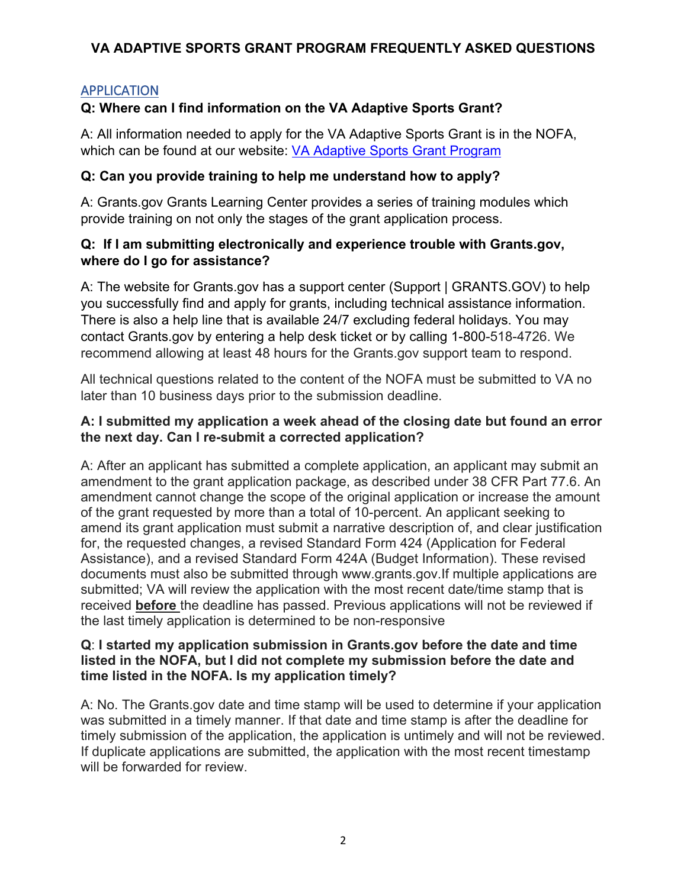## <span id="page-2-0"></span>APPLICATION

# **Q: Where can I find information on the VA Adaptive Sports Grant?**

A: All information needed to apply for the VA Adaptive Sports Grant is in the NOFA, which can be found at our website: [VA Adaptive Sports Grant Program](https://www.blogs.va.gov/nvspse/grant-program/)

## **Q: Can you provide training to help me understand how to apply?**

A: Grants.gov Grants Learning Center provides a series of training modules which provide training on not only the stages of the grant application process.

#### **Q: If I am submitting electronically and experience trouble with Grants.gov, where do I go for assistance?**

A: The website for Grants.gov has a support center [\(Support | GRANTS.GOV\)](https://www.grants.gov/support.html) to help you successfully find and apply for grants, including technical assistance information. There is also a help line that is available 24/7 excluding federal holidays. You may contact Grants.gov by entering a help desk ticket or by calling 1-800-518-4726. We recommend allowing at least 48 hours for the Grants.gov support team to respond.

All technical questions related to the content of the NOFA must be submitted to VA no later than 10 business days prior to the submission deadline.

#### **A: I submitted my application a week ahead of the closing date but found an error the next day. Can I re-submit a corrected application?**

A: After an applicant has submitted a complete application, an applicant may submit an amendment to the grant application package, as described under 38 CFR Part 77.6. An amendment cannot change the scope of the original application or increase the amount of the grant requested by more than a total of 10-percent. An applicant seeking to amend its grant application must submit a narrative description of, and clear justification for, the requested changes, a revised Standard Form 424 (Application for Federal Assistance), and a revised Standard Form 424A (Budget Information). These revised documents must also be submitted through www.grants.gov.If multiple applications are submitted; VA will review the application with the most recent date/time stamp that is received **before** the deadline has passed. Previous applications will not be reviewed if the last timely application is determined to be non-responsive

#### **Q**: **I started my application submission in Grants.gov before the date and time listed in the NOFA, but I did not complete my submission before the date and time listed in the NOFA. Is my application timely?**

A: No. The Grants.gov date and time stamp will be used to determine if your application was submitted in a timely manner. If that date and time stamp is after the deadline for timely submission of the application, the application is untimely and will not be reviewed. If duplicate applications are submitted, the application with the most recent timestamp will be forwarded for review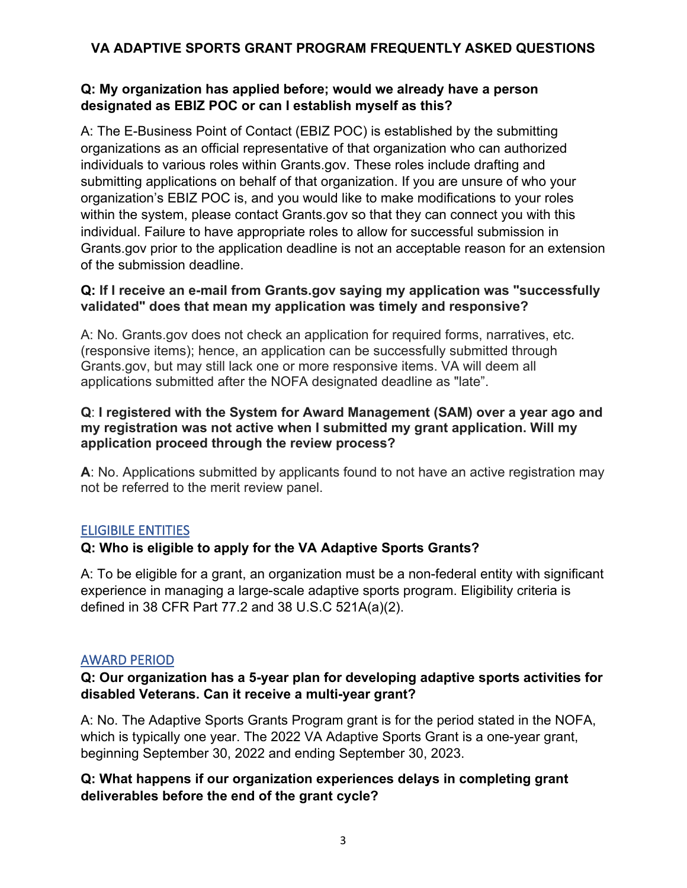## **Q: My organization has applied before; would we already have a person designated as EBIZ POC or can I establish myself as this?**

A: The E-Business Point of Contact (EBIZ POC) is established by the submitting organizations as an official representative of that organization who can authorized individuals to various roles within Grants.gov. These roles include drafting and submitting applications on behalf of that organization. If you are unsure of who your organization's EBIZ POC is, and you would like to make modifications to your roles within the system, please contact Grants.gov so that they can connect you with this individual. Failure to have appropriate roles to allow for successful submission in Grants.gov prior to the application deadline is not an acceptable reason for an extension of the submission deadline.

#### **Q: If I receive an e-mail from Grants.gov saying my application was "successfully validated" does that mean my application was timely and responsive?**

A: No. Grants.gov does not check an application for required forms, narratives, etc. (responsive items); hence, an application can be successfully submitted through Grants.gov, but may still lack one or more responsive items. VA will deem all applications submitted after the NOFA designated deadline as "late".

#### **Q**: **I registered with the System for Award Management (SAM) over a year ago and my registration was not active when I submitted my grant application. Will my application proceed through the review process?**

**A**: No. Applications submitted by applicants found to not have an active registration may not be referred to the merit review panel.

## <span id="page-3-0"></span>ELIGIBILE ENTITIES

## **Q: Who is eligible to apply for the VA Adaptive Sports Grants?**

A: To be eligible for a grant, an organization must be a non-federal entity with significant experience in managing a large-scale adaptive sports program. Eligibility criteria is defined in 38 CFR Part 77.2 and 38 U.S.C 521A(a)(2).

#### <span id="page-3-1"></span>AWARD PERIOD

## **Q: Our organization has a 5-year plan for developing adaptive sports activities for disabled Veterans. Can it receive a multi-year grant?**

A: No. The Adaptive Sports Grants Program grant is for the period stated in the NOFA, which is typically one year. The 2022 VA Adaptive Sports Grant is a one-year grant, beginning September 30, 2022 and ending September 30, 2023.

## **Q: What happens if our organization experiences delays in completing grant deliverables before the end of the grant cycle?**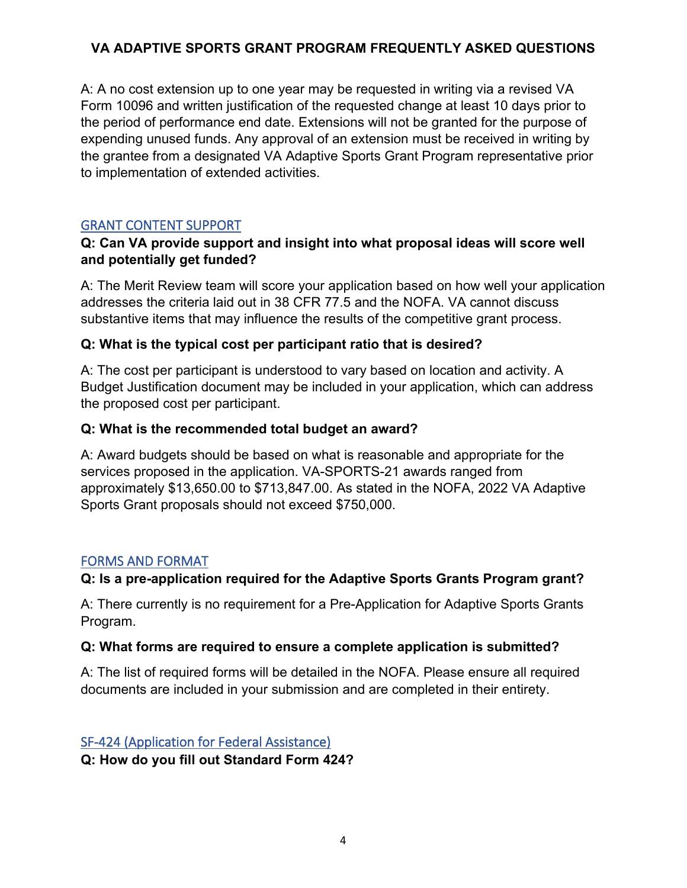A: A no cost extension up to one year may be requested in writing via a revised VA Form 10096 and written justification of the requested change at least 10 days prior to the period of performance end date. Extensions will not be granted for the purpose of expending unused funds. Any approval of an extension must be received in writing by the grantee from a designated VA Adaptive Sports Grant Program representative prior to implementation of extended activities.

## <span id="page-4-0"></span>GRANT CONTENT SUPPORT

## **Q: Can VA provide support and insight into what proposal ideas will score well and potentially get funded?**

A: The Merit Review team will score your application based on how well your application addresses the criteria laid out in 38 CFR 77.5 and the NOFA. VA cannot discuss substantive items that may influence the results of the competitive grant process.

## **Q: What is the typical cost per participant ratio that is desired?**

A: The cost per participant is understood to vary based on location and activity. A Budget Justification document may be included in your application, which can address the proposed cost per participant.

#### **Q: What is the recommended total budget an award?**

A: Award budgets should be based on what is reasonable and appropriate for the services proposed in the application. VA-SPORTS-21 awards ranged from approximately \$13,650.00 to \$713,847.00. As stated in the NOFA, 2022 VA Adaptive Sports Grant proposals should not exceed \$750,000.

## <span id="page-4-1"></span>FORMS AND FORMAT

## **Q: Is a pre-application required for the Adaptive Sports Grants Program grant?**

A: There currently is no requirement for a Pre-Application for Adaptive Sports Grants Program.

#### **Q: What forms are required to ensure a complete application is submitted?**

A: The list of required forms will be detailed in the NOFA. Please ensure all required documents are included in your submission and are completed in their entirety.

# <span id="page-4-2"></span>SF-424 (Application for Federal Assistance)

**Q: How do you fill out Standard Form 424?**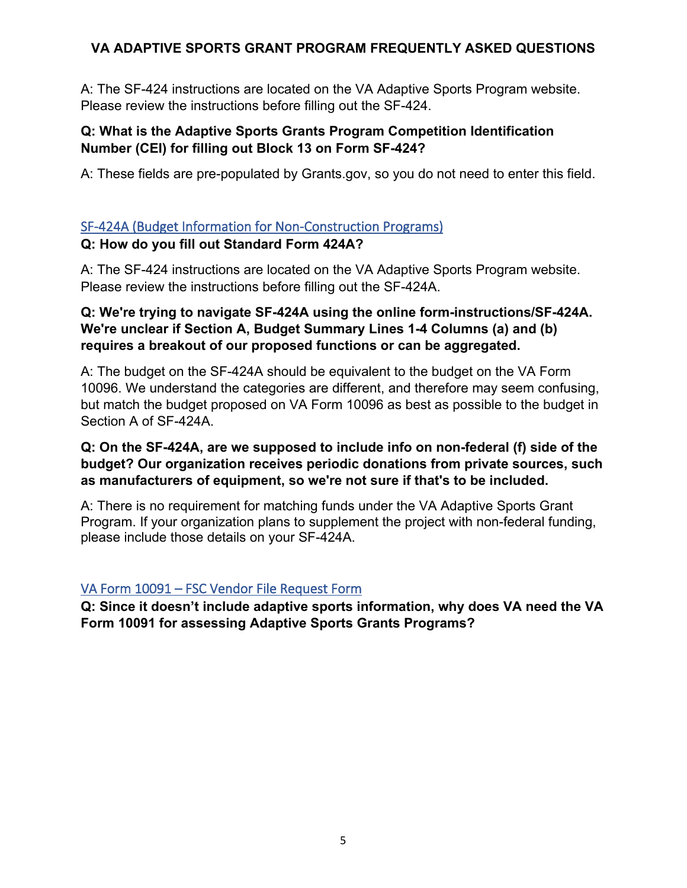A: The SF-424 instructions are located on the VA Adaptive Sports Program website. Please review the instructions before filling out the SF-424.

#### **Q: What is the Adaptive Sports Grants Program Competition Identification Number (CEI) for filling out Block 13 on Form SF-424?**

A: These fields are pre-populated by Grants.gov, so you do not need to enter this field.

## <span id="page-5-0"></span>SF-424A (Budget Information for Non-Construction Programs)

## **Q: How do you fill out Standard Form 424A?**

A: The SF-424 instructions are located on the VA Adaptive Sports Program website. Please review the instructions before filling out the SF-424A.

## **Q: We're trying to navigate SF-424A using the online form-instructions/SF-424A. We're unclear if Section A, Budget Summary Lines 1-4 Columns (a) and (b) requires a breakout of our proposed functions or can be aggregated.**

A: The budget on the SF-424A should be equivalent to the budget on the VA Form 10096. We understand the categories are different, and therefore may seem confusing, but match the budget proposed on VA Form 10096 as best as possible to the budget in Section A of SF-424A.

## **Q: On the SF-424A, are we supposed to include info on non-federal (f) side of the budget? Our organization receives periodic donations from private sources, such as manufacturers of equipment, so we're not sure if that's to be included.**

A: There is no requirement for matching funds under the VA Adaptive Sports Grant Program. If your organization plans to supplement the project with non-federal funding, please include those details on your SF-424A.

# <span id="page-5-1"></span>VA Form 10091 – FSC Vendor File Request Form

**Q: Since it doesn't include adaptive sports information, why does VA need the VA Form 10091 for assessing Adaptive Sports Grants Programs?**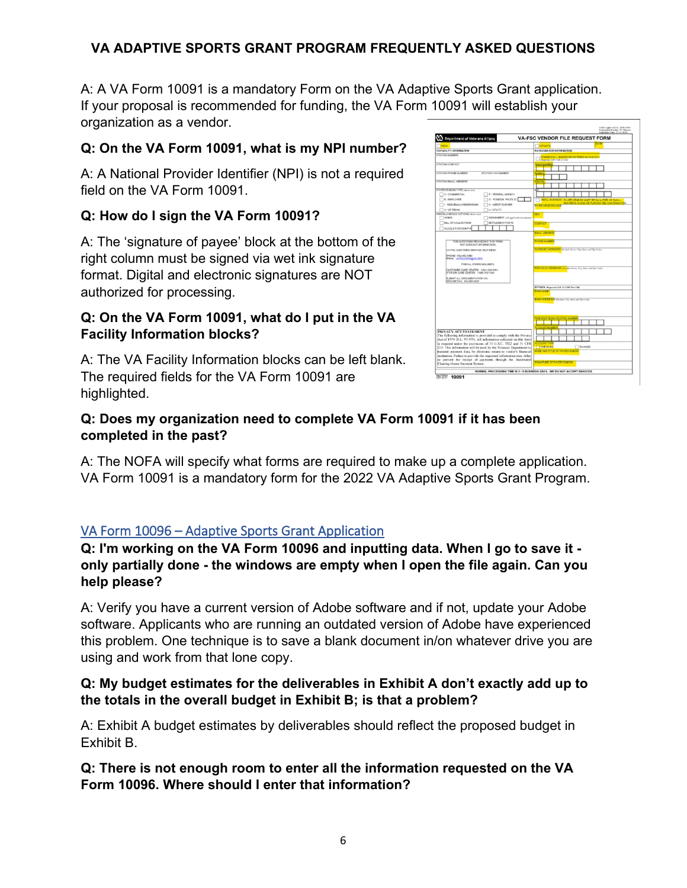A: A VA Form 10091 is a mandatory Form on the VA Adaptive Sports Grant application. If your proposal is recommended for funding, the VA Form 10091 will establish your organization as a vendor.

# **Q: On the VA Form 10091, what is my NPI number?**

A: A National Provider Identifier (NPI) is not a required field on the VA Form 10091.

# **Q: How do I sign the VA Form 10091?**

A: The 'signature of payee' block at the bottom of the right column must be signed via wet ink signature format. Digital and electronic signatures are NOT authorized for processing.

## **Q: On the VA Form 10091, what do I put in the VA Facility Information blocks?**

A: The VA Facility Information blocks can be left blank. The required fields for the VA Form 10091 are highlighted.



# **Q: Does my organization need to complete VA Form 10091 if it has been completed in the past?**

A: The NOFA will specify what forms are required to make up a complete application. VA Form 10091 is a mandatory form for the 2022 VA Adaptive Sports Grant Program.

# <span id="page-6-0"></span>VA Form 10096 – Adaptive Sports Grant Application

**Q: I'm working on the VA Form 10096 and inputting data. When I go to save it only partially done - the windows are empty when I open the file again. Can you help please?**

A: Verify you have a current version of Adobe software and if not, update your Adobe software. Applicants who are running an outdated version of Adobe have experienced this problem. One technique is to save a blank document in/on whatever drive you are using and work from that lone copy.

## **Q: My budget estimates for the deliverables in Exhibit A don't exactly add up to the totals in the overall budget in Exhibit B; is that a problem?**

A: Exhibit A budget estimates by deliverables should reflect the proposed budget in Exhibit B.

**Q: There is not enough room to enter all the information requested on the VA Form 10096. Where should I enter that information?**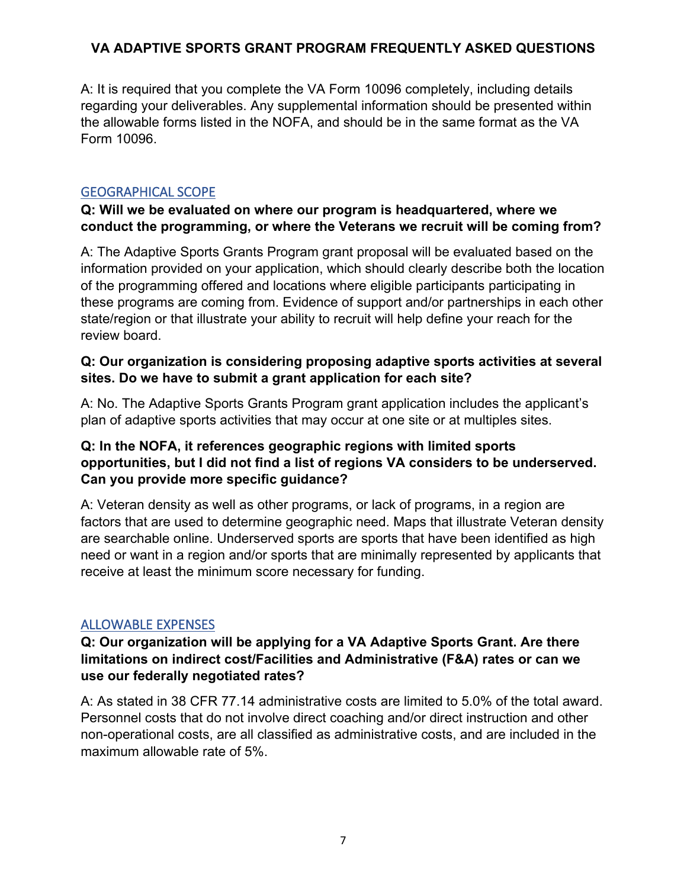A: It is required that you complete the VA Form 10096 completely, including details regarding your deliverables. Any supplemental information should be presented within the allowable forms listed in the NOFA, and should be in the same format as the VA Form 10096.

#### <span id="page-7-0"></span>GEOGRAPHICAL SCOPE

#### **Q: Will we be evaluated on where our program is headquartered, where we conduct the programming, or where the Veterans we recruit will be coming from?**

A: The Adaptive Sports Grants Program grant proposal will be evaluated based on the information provided on your application, which should clearly describe both the location of the programming offered and locations where eligible participants participating in these programs are coming from. Evidence of support and/or partnerships in each other state/region or that illustrate your ability to recruit will help define your reach for the review board.

#### **Q: Our organization is considering proposing adaptive sports activities at several sites. Do we have to submit a grant application for each site?**

A: No. The Adaptive Sports Grants Program grant application includes the applicant's plan of adaptive sports activities that may occur at one site or at multiples sites.

## **Q: In the NOFA, it references geographic regions with limited sports opportunities, but I did not find a list of regions VA considers to be underserved. Can you provide more specific guidance?**

A: Veteran density as well as other programs, or lack of programs, in a region are factors that are used to determine geographic need. Maps that illustrate Veteran density are searchable online. Underserved sports are sports that have been identified as high need or want in a region and/or sports that are minimally represented by applicants that receive at least the minimum score necessary for funding.

## <span id="page-7-1"></span>ALLOWABLE EXPENSES

#### **Q: Our organization will be applying for a VA Adaptive Sports Grant. Are there limitations on indirect cost/Facilities and Administrative (F&A) rates or can we use our federally negotiated rates?**

A: As stated in 38 CFR 77.14 administrative costs are limited to 5.0% of the total award. Personnel costs that do not involve direct coaching and/or direct instruction and other non-operational costs, are all classified as administrative costs, and are included in the maximum allowable rate of 5%.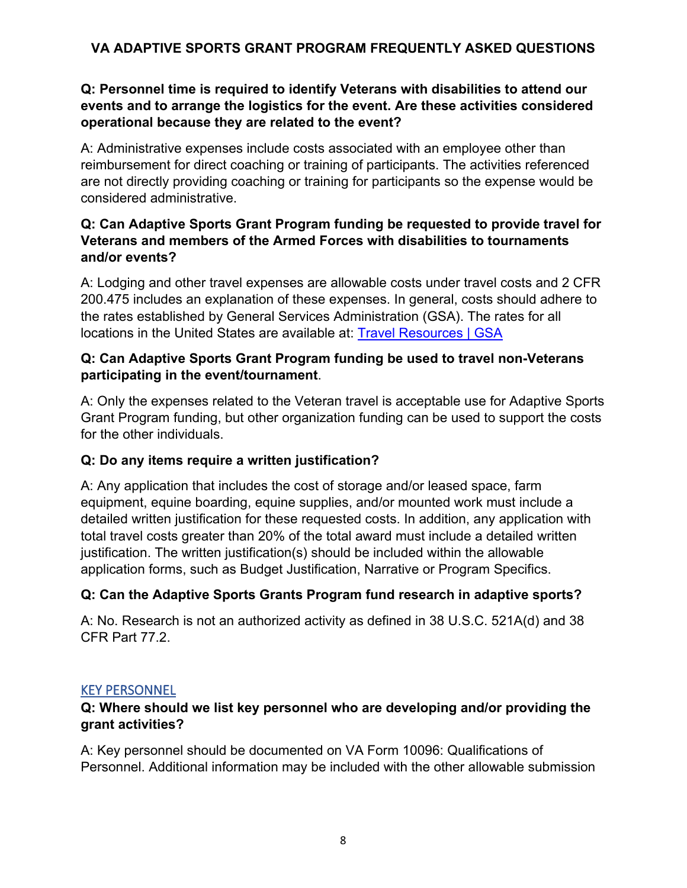## **Q: Personnel time is required to identify Veterans with disabilities to attend our events and to arrange the logistics for the event. Are these activities considered operational because they are related to the event?**

A: Administrative expenses include costs associated with an employee other than reimbursement for direct coaching or training of participants. The activities referenced are not directly providing coaching or training for participants so the expense would be considered administrative.

## **Q: Can Adaptive Sports Grant Program funding be requested to provide travel for Veterans and members of the Armed Forces with disabilities to tournaments and/or events?**

A: Lodging and other travel expenses are allowable costs under travel costs and 2 CFR 200.475 includes an explanation of these expenses. In general, costs should adhere to the rates established by General Services Administration (GSA). The rates for all locations in the United States are available at: [Travel Resources | GSA](https://www.gsa.gov/travel-resources)

## **Q: Can Adaptive Sports Grant Program funding be used to travel non-Veterans participating in the event/tournament**.

A: Only the expenses related to the Veteran travel is acceptable use for Adaptive Sports Grant Program funding, but other organization funding can be used to support the costs for the other individuals.

## **Q: Do any items require a written justification?**

A: Any application that includes the cost of storage and/or leased space, farm equipment, equine boarding, equine supplies, and/or mounted work must include a detailed written justification for these requested costs. In addition, any application with total travel costs greater than 20% of the total award must include a detailed written justification. The written justification(s) should be included within the allowable application forms, such as Budget Justification, Narrative or Program Specifics.

## **Q: Can the Adaptive Sports Grants Program fund research in adaptive sports?**

A: No. Research is not an authorized activity as defined in 38 U.S.C. 521A(d) and 38 CFR Part 77 2

## <span id="page-8-0"></span>KEY PERSONNEL

## **Q: Where should we list key personnel who are developing and/or providing the grant activities?**

A: Key personnel should be documented on VA Form 10096: Qualifications of Personnel. Additional information may be included with the other allowable submission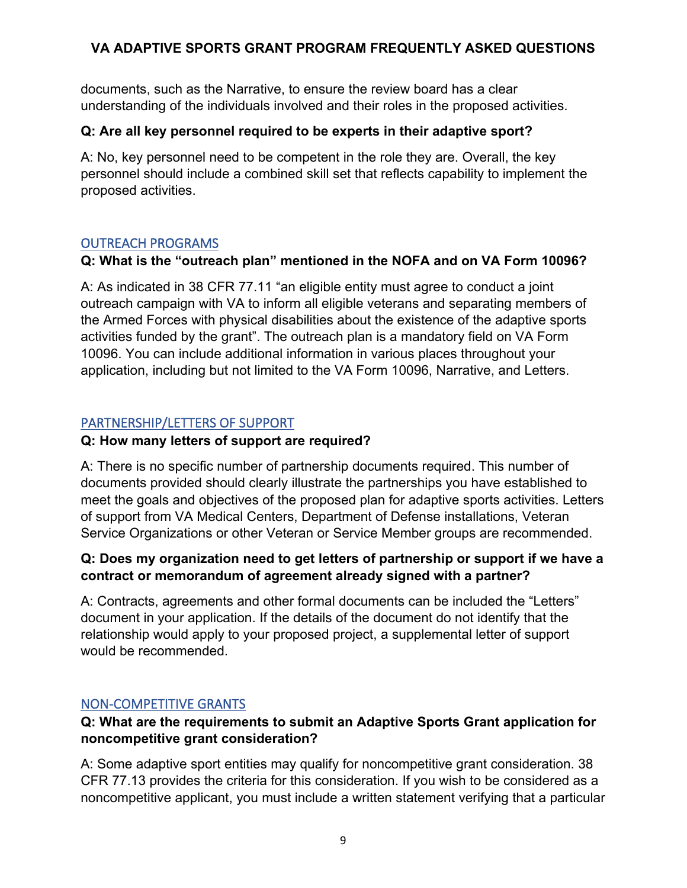documents, such as the Narrative, to ensure the review board has a clear understanding of the individuals involved and their roles in the proposed activities.

## **Q: Are all key personnel required to be experts in their adaptive sport?**

A: No, key personnel need to be competent in the role they are. Overall, the key personnel should include a combined skill set that reflects capability to implement the proposed activities.

#### <span id="page-9-0"></span>OUTREACH PROGRAMS

#### **Q: What is the "outreach plan" mentioned in the NOFA and on VA Form 10096?**

A: As indicated in 38 CFR 77.11 "an eligible entity must agree to conduct a joint outreach campaign with VA to inform all eligible veterans and separating members of the Armed Forces with physical disabilities about the existence of the adaptive sports activities funded by the grant". The outreach plan is a mandatory field on VA Form 10096. You can include additional information in various places throughout your application, including but not limited to the VA Form 10096, Narrative, and Letters.

## <span id="page-9-1"></span>PARTNERSHIP/LETTERS OF SUPPORT

#### **Q: How many letters of support are required?**

A: There is no specific number of partnership documents required. This number of documents provided should clearly illustrate the partnerships you have established to meet the goals and objectives of the proposed plan for adaptive sports activities. Letters of support from VA Medical Centers, Department of Defense installations, Veteran Service Organizations or other Veteran or Service Member groups are recommended.

## **Q: Does my organization need to get letters of partnership or support if we have a contract or memorandum of agreement already signed with a partner?**

A: Contracts, agreements and other formal documents can be included the "Letters" document in your application. If the details of the document do not identify that the relationship would apply to your proposed project, a supplemental letter of support would be recommended.

#### <span id="page-9-2"></span>NON-COMPETITIVE GRANTS

## **Q: What are the requirements to submit an Adaptive Sports Grant application for noncompetitive grant consideration?**

A: Some adaptive sport entities may qualify for noncompetitive grant consideration. 38 CFR 77.13 provides the criteria for this consideration. If you wish to be considered as a noncompetitive applicant, you must include a written statement verifying that a particular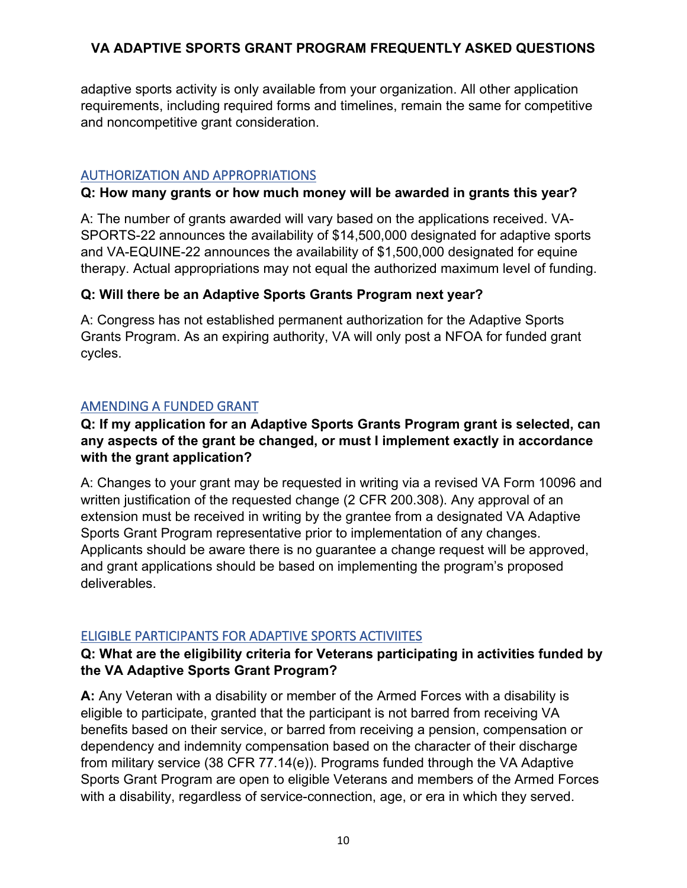adaptive sports activity is only available from your organization. All other application requirements, including required forms and timelines, remain the same for competitive and noncompetitive grant consideration.

## <span id="page-10-0"></span>AUTHORIZATION AND APPROPRIATIONS

#### **Q: How many grants or how much money will be awarded in grants this year?**

A: The number of grants awarded will vary based on the applications received. VA-SPORTS-22 announces the availability of \$14,500,000 designated for adaptive sports and VA-EQUINE-22 announces the availability of \$1,500,000 designated for equine therapy. Actual appropriations may not equal the authorized maximum level of funding.

## **Q: Will there be an Adaptive Sports Grants Program next year?**

A: Congress has not established permanent authorization for the Adaptive Sports Grants Program. As an expiring authority, VA will only post a NFOA for funded grant cycles.

## <span id="page-10-1"></span>AMENDING A FUNDED GRANT

## **Q: If my application for an Adaptive Sports Grants Program grant is selected, can any aspects of the grant be changed, or must I implement exactly in accordance with the grant application?**

A: Changes to your grant may be requested in writing via a revised VA Form 10096 and written justification of the requested change (2 CFR 200.308). Any approval of an extension must be received in writing by the grantee from a designated VA Adaptive Sports Grant Program representative prior to implementation of any changes. Applicants should be aware there is no guarantee a change request will be approved, and grant applications should be based on implementing the program's proposed deliverables.

## <span id="page-10-2"></span>ELIGIBLE PARTICIPANTS FOR ADAPTIVE SPORTS ACTIVIITES

## **Q: What are the eligibility criteria for Veterans participating in activities funded by the VA Adaptive Sports Grant Program?**

**A:** Any Veteran with a disability or member of the Armed Forces with a disability is eligible to participate, granted that the participant is not barred from receiving VA benefits based on their service, or barred from receiving a pension, compensation or dependency and indemnity compensation based on the character of their discharge from military service (38 CFR 77.14(e)). Programs funded through the VA Adaptive Sports Grant Program are open to eligible Veterans and members of the Armed Forces with a disability, regardless of service-connection, age, or era in which they served.